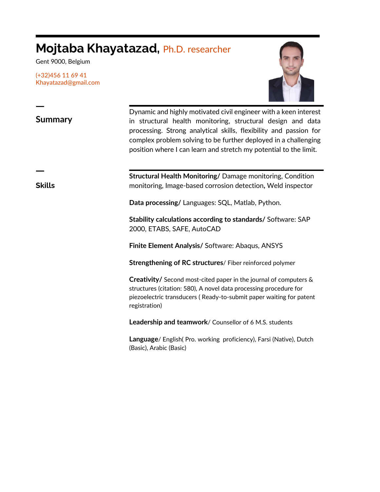## **Mojtaba Khayatazad,** Ph.D. researcher

Gent 9000, Belgium

(+32)456 11 69 41 Khayatazad@gmail.com



**Summary**

Dynamic and highly motivated civil engineer with a keen interest in structural health monitoring, structural design and data processing. Strong analytical skills, flexibility and passion for complex problem solving to be further deployed in a challenging position where I can learn and stretch my potential to the limit.

ㅡ

ㅡ

**Skills**

**Structural Health Monitoring/** Damage monitoring, Condition monitoring, Image-based corrosion detection**,** Weld inspector

**Data processing/** Languages: SQL, Matlab, Python.

**Stability calculations according to standards/** Software: SAP 2000, ETABS, SAFE, AutoCAD

**Finite Element Analysis/** Software: Abaqus, ANSYS

**Strengthening of RC structures**/ Fiber reinforced polymer

**Creativity/** Second most-cited paper in the journal of computers & structures (citation: 580), A novel data processing procedure for piezoelectric transducers ( Ready-to-submit paper waiting for patent registration)

**Leadership and teamwork**/ Counsellor of 6 M.S. students

**Language**/ English( Pro. working proficiency), Farsi (Native), Dutch (Basic), Arabic (Basic)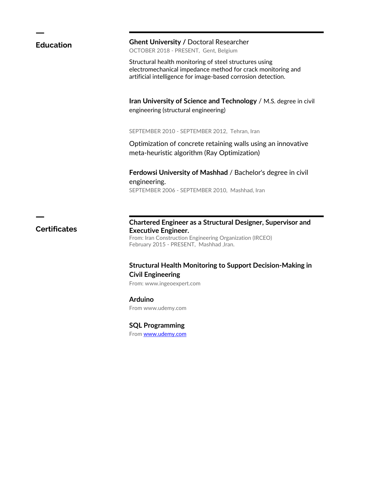| <b>Education</b>    | <b>Ghent University / Doctoral Researcher</b><br>OCTOBER 2018 - PRESENT, Gent, Belgium                                                                                                           |
|---------------------|--------------------------------------------------------------------------------------------------------------------------------------------------------------------------------------------------|
|                     | Structural health monitoring of steel structures using<br>electromechanical impedance method for crack monitoring and<br>artificial intelligence for image-based corrosion detection.            |
|                     | Iran University of Science and Technology / M.S. degree in civil<br>engineering (structural engineering)                                                                                         |
|                     | SEPTEMBER 2010 - SEPTEMBER 2012, Tehran, Iran                                                                                                                                                    |
|                     | Optimization of concrete retaining walls using an innovative<br>meta-heuristic algorithm (Ray Optimization)                                                                                      |
|                     | Ferdowsi University of Mashhad / Bachelor's degree in civil<br>engineering.<br>SEPTEMBER 2006 - SEPTEMBER 2010, Mashhad, Iran                                                                    |
|                     |                                                                                                                                                                                                  |
| <b>Certificates</b> | Chartered Engineer as a Structural Designer, Supervisor and<br><b>Executive Engineer.</b><br>From: Iran Construction Engineering Organization (IRCEO)<br>February 2015 - PRESENT, Mashhad, Iran. |
|                     | <b>Structural Health Monitoring to Support Decision-Making in</b><br><b>Civil Engineering</b>                                                                                                    |
|                     | From: www.ingeoexpert.com                                                                                                                                                                        |
|                     | <b>Arduino</b>                                                                                                                                                                                   |
|                     | From www.udemy.com                                                                                                                                                                               |
|                     | <b>SQL Programming</b>                                                                                                                                                                           |
|                     | From www.udemy.com                                                                                                                                                                               |
|                     |                                                                                                                                                                                                  |
|                     |                                                                                                                                                                                                  |